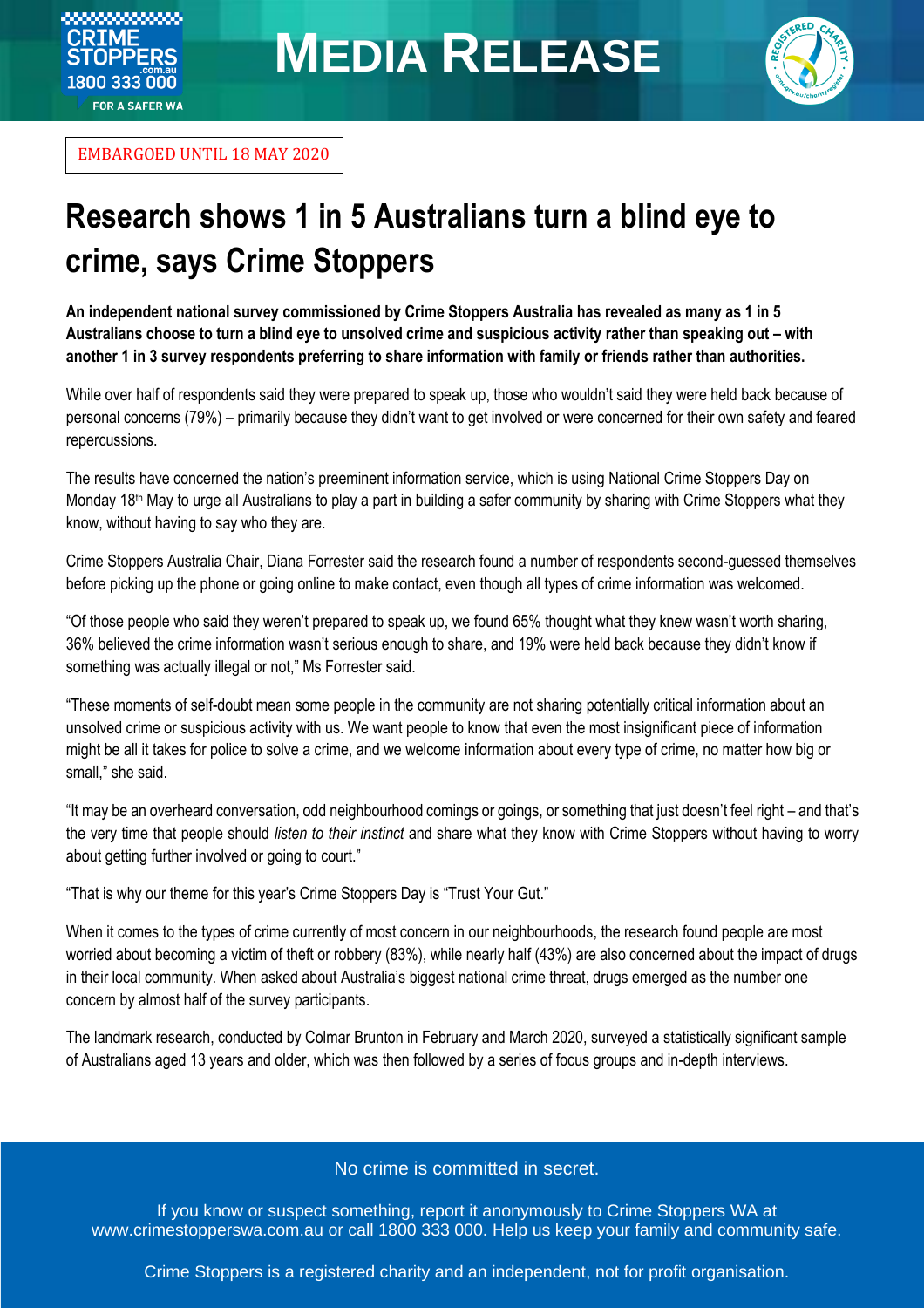

EMBARGOED UNTIL 18 MAY 2020

ೲೲೲೲೲೲೲ **RIME** 

**OPPERS** 1800 333 000 **FOR A SAFER WA** 

## **Research shows 1 in 5 Australians turn a blind eye to crime, says Crime Stoppers**

**An independent national survey commissioned by Crime Stoppers Australia has revealed as many as 1 in 5 Australians choose to turn a blind eye to unsolved crime and suspicious activity rather than speaking out – with another 1 in 3 survey respondents preferring to share information with family or friends rather than authorities.**

While over half of respondents said they were prepared to speak up, those who wouldn't said they were held back because of personal concerns (79%) – primarily because they didn't want to get involved or were concerned for their own safety and feared repercussions.

The results have concerned the nation's preeminent information service, which is using National Crime Stoppers Day on Monday 18<sup>th</sup> May to urge all Australians to play a part in building a safer community by sharing with Crime Stoppers what they know, without having to say who they are.

Crime Stoppers Australia Chair, Diana Forrester said the research found a number of respondents second-guessed themselves before picking up the phone or going online to make contact, even though all types of crime information was welcomed.

"Of those people who said they weren't prepared to speak up, we found 65% thought what they knew wasn't worth sharing, 36% believed the crime information wasn't serious enough to share, and 19% were held back because they didn't know if something was actually illegal or not," Ms Forrester said.

"These moments of self-doubt mean some people in the community are not sharing potentially critical information about an unsolved crime or suspicious activity with us. We want people to know that even the most insignificant piece of information might be all it takes for police to solve a crime, and we welcome information about every type of crime, no matter how big or small," she said.

"It may be an overheard conversation, odd neighbourhood comings or goings, or something that just doesn't feel right – and that's the very time that people should *listen to their instinct* and share what they know with Crime Stoppers without having to worry about getting further involved or going to court."

"That is why our theme for this year's Crime Stoppers Day is "Trust Your Gut."

When it comes to the types of crime currently of most concern in our neighbourhoods, the research found people are most worried about becoming a victim of theft or robbery (83%), while nearly half (43%) are also concerned about the impact of drugs in their local community. When asked about Australia's biggest national crime threat, drugs emerged as the number one concern by almost half of the survey participants.

The landmark research, conducted by Colmar Brunton in February and March 2020, surveyed a statistically significant sample of Australians aged 13 years and older, which was then followed by a series of focus groups and in-depth interviews.

### No crime is committed in secret.

If you know or suspect something, report it anonymously to Crime Stoppers WA at [www.crimestopperswa.com.au](http://www.crimestopperswa.com.au/) or call 1800 333 000. Help us keep your family and community safe.

Crime Stoppers is a registered charity and an independent, not for profit organisation.